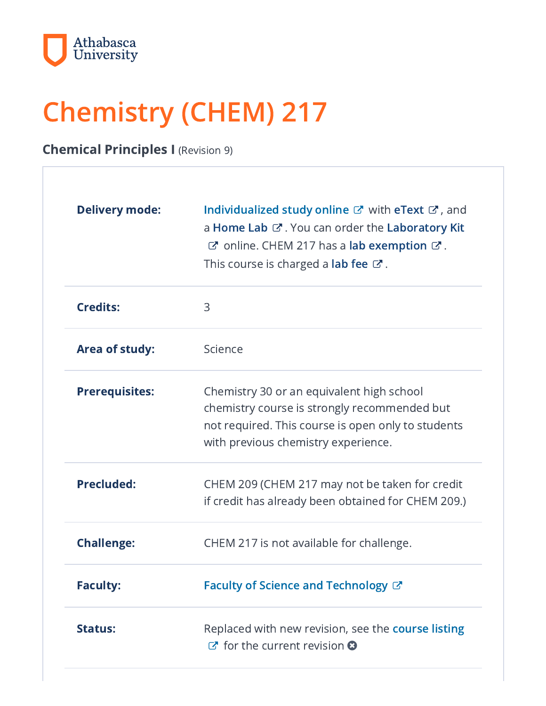

# Chemistry (CHEM) 217

Chemical Principles I (Revision 9)

| <b>Delivery mode:</b> | Individualized study online $\mathbb{Z}$ with eText $\mathbb{Z}$ , and<br>a Home Lab & . You can order the Laboratory Kit<br>C'online. CHEM 217 has a lab exemption C'.<br>This course is charged a <b>lab fee</b> $\mathbb{Z}$ . |
|-----------------------|-----------------------------------------------------------------------------------------------------------------------------------------------------------------------------------------------------------------------------------|
| <b>Credits:</b>       | 3                                                                                                                                                                                                                                 |
| Area of study:        | Science                                                                                                                                                                                                                           |
| <b>Prerequisites:</b> | Chemistry 30 or an equivalent high school<br>chemistry course is strongly recommended but<br>not required. This course is open only to students<br>with previous chemistry experience.                                            |
| <b>Precluded:</b>     | CHEM 209 (CHEM 217 may not be taken for credit<br>if credit has already been obtained for CHEM 209.)                                                                                                                              |
| <b>Challenge:</b>     | CHEM 217 is not available for challenge.                                                                                                                                                                                          |
| <b>Faculty:</b>       | Faculty of Science and Technology $\mathbb{C}^n$                                                                                                                                                                                  |
| <b>Status:</b>        | Replaced with new revision, see the course listing<br>$\sigma$ for the current revision $\Omega$                                                                                                                                  |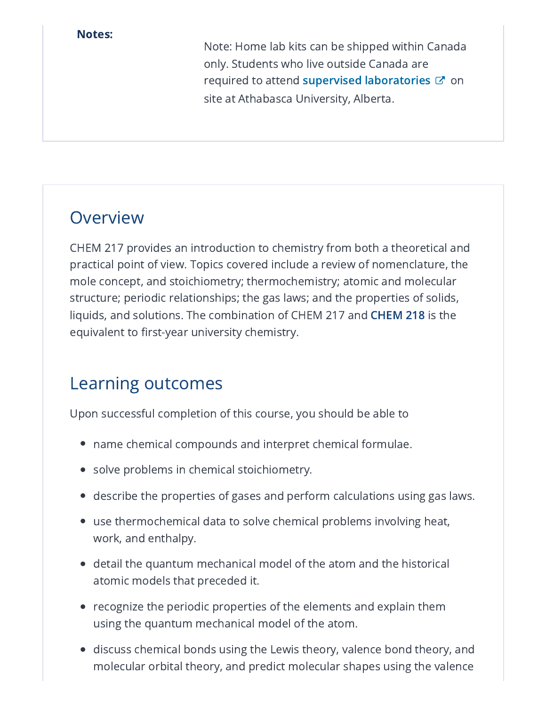#### Notes:

Note: Home lab kits can be shipped within Canada only. Students who live outside Canada are required to attend supervised [laboratories](https://www.athabascau.ca/science-and-technology/resources/centre-for-science/labs/chemistry-labs.html)  $\varnothing$  on site at Athabasca University, Alberta.

## **Overview**

CHEM 217 provides an introduction to chemistry from both a theoretical and practical point of view. Topics covered include a review of nomenclature, the mole concept, and stoichiometry; thermochemistry; atomic and molecular structure; periodic relationships; the gas laws; and the properties of solids, liquids, and solutions. The combination of CHEM 217 and [CHEM](https://www-preview.athabascau.ca/syllabi/chem/chem218.html) 218 is the equivalent to first-year university chemistry.

# Learning outcomes

Upon successful completion of this course, you should be able to

- name chemical compounds and interpret chemical formulae.
- solve problems in chemical stoichiometry.
- describe the properties of gases and perform calculations using gas laws.
- use thermochemical data to solve chemical problems involving heat, work, and enthalpy.
- detail the quantum mechanical model of the atom and the historical atomic models that preceded it.
- $\bullet\;$  recognize the periodic properties of the elements and explain them  $\;$ using the quantum mechanical model of the atom.
- discuss chemical bonds using the Lewis theory, valence bond theory, and molecular orbital theory, and predict molecular shapes using the valence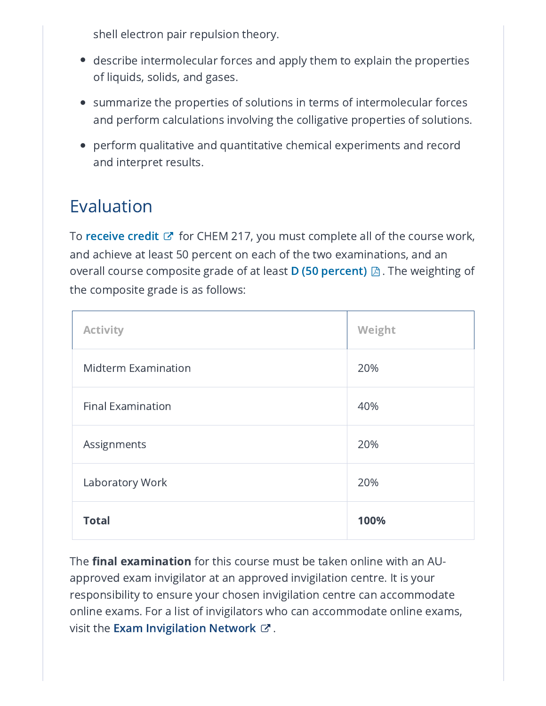shell electron pair repulsion theory.

- $\bullet~$  describe intermolecular forces and apply them to explain the properties of liquids, solids, and gases.
- $\bullet~$  summarize the properties of solutions in terms of intermolecular forces and perform calculations involving the colligative properties of solutions.
- perform qualitative and quantitative chemical experiments and record and interpret results.

# Evaluation

To **[receive](https://www.athabascau.ca/calendar/undergraduate/general-information/glossary.html#credit) credit** & for CHEM 217, you must complete all of the course work, and achieve at least 50 percent on each of the two examinations, and an overall course composite grade of at least **D (50 [percent\)](https://www.athabascau.ca/university-secretariat/_documents/policy/undergraduate-grading-policy.pdf)**  $\boxtimes$  . The weighting of the composite grade is as follows:

| <b>Activity</b>            | Weight |
|----------------------------|--------|
| <b>Midterm Examination</b> | 20%    |
| <b>Final Examination</b>   | 40%    |
| Assignments                | 20%    |
| Laboratory Work            | 20%    |
| <b>Total</b>               | 100%   |

The **final examination** for this course must be taken online with an AUapproved exam invigilator at an approved invigilation centre. It is your responsibility to ensure your chosen invigilation centre can accommodate online exams. For a list of invigilators who can accommodate online exams, visit the **Exam [Invigilation](https://www.athabascau.ca/support-services/exam-services-support/finding-exam-locations/canada-wide-invigilation-locations.html) Network**  $\varnothing$  .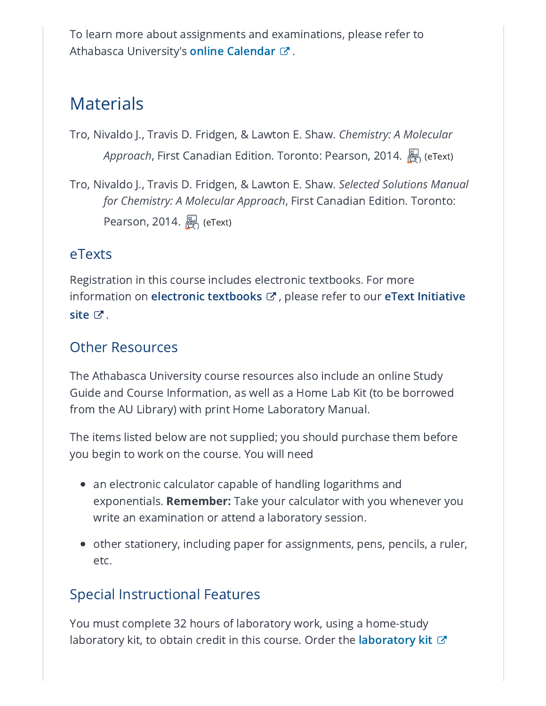To learn more about assignments and examinations, please refer to Athabasca University's **online [Calendar](https://www.athabascau.ca/calendar/undergraduate/exams-grades/requesting-an-exam.html)** ぴ .

## Materials

Tro, Nivaldo J., Travis D. Fridgen, & Lawton E. Shaw. *Chemistry: A Molecular Approach*, First Canadian Edition. Toronto: Pearson, 2014. A (eText)

Tro, Nivaldo J., Travis D. Fridgen, & Lawton E. Shaw. *Selected Solutions Manual for Chemistry: A Molecular Approach*, First Canadian Edition. Toronto: Pearson, 2014.  $\mathbb{R}$  (eText)

#### eTexts

Registration in this course includes electronic textbooks. For more [information](https://www.athabascau.ca/etext-initiative/index.html) on **electronic [textbooks](https://www.athabascau.ca/calendar/undergraduate/general-information/glossary.html#etext)**  $\mathbf{\mathcal{C}}$  , please refer to our **eText Initiative** site  $\mathbb{C}^{\bullet}$  .

#### Other Resources

The Athabasca University course resources also include an online Study Guide and Course Information, as well as a Home Lab Kit (to be borrowed from the AU Library) with print Home Laboratory Manual.

The items listed below are not supplied; you should purchase them before you begin to work on the course. You will need

- $\bullet~$  an electronic calculator capable of handling logarithms and exponentials. **Remember:** Take your calculator with you whenever you write an examination or attend a laboratory session.
- $\bullet\;$  other stationery, including paper for assignments, pens, pencils, a ruler, etc.

#### Special Instructional Features

You must complete 32 hours of laboratory work, using a home-study [laboratory](https://secure3.athabascau.ca/LabKitRequest/app/student-forms/student_form.php) kit, to obtain credit in this course. Order the **laboratory kit**  $\varnothing$